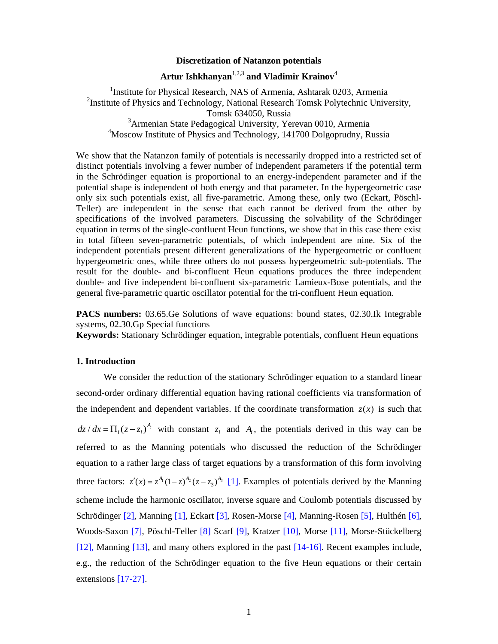## **Discretization of Natanzon potentials**

# **Artur Ishkhanyan**1,2,3 **and Vladimir Krainov**<sup>4</sup>

<sup>1</sup>Institute for Physical Research, NAS of Armenia, Ashtarak 0203, Armenia <sup>2</sup>Institute of Physics and Technology, National Research Tomsk Polytechnic University, Tomsk 634050, Russia <sup>3</sup> Armenian State Pedagogical University, Yerevan 0010, Armenia 4 Moscow Institute of Physics and Technology, 141700 Dolgoprudny, Russia

We show that the Natanzon family of potentials is necessarily dropped into a restricted set of distinct potentials involving a fewer number of independent parameters if the potential term in the Schrödinger equation is proportional to an energy-independent parameter and if the potential shape is independent of both energy and that parameter. In the hypergeometric case only six such potentials exist, all five-parametric. Among these, only two (Eckart, Pöschl-Teller) are independent in the sense that each cannot be derived from the other by specifications of the involved parameters. Discussing the solvability of the Schrödinger equation in terms of the single-confluent Heun functions, we show that in this case there exist in total fifteen seven-parametric potentials, of which independent are nine. Six of the independent potentials present different generalizations of the hypergeometric or confluent hypergeometric ones, while three others do not possess hypergeometric sub-potentials. The result for the double- and bi-confluent Heun equations produces the three independent double- and five independent bi-confluent six-parametric Lamieux-Bose potentials, and the general five-parametric quartic oscillator potential for the tri-confluent Heun equation.

**PACS numbers:** 03.65.Ge Solutions of wave equations: bound states, 02.30.Ik Integrable systems, 02.30.Gp Special functions

**Keywords:** Stationary Schrödinger equation, integrable potentials, confluent Heun equations

# **1. Introduction**

 We consider the reduction of the stationary Schrödinger equation to a standard linear second-order ordinary differential equation having rational coefficients via transformation of the independent and dependent variables. If the coordinate transformation  $z(x)$  is such that  $dz/dx = \prod_i (z - z_i)^{A_i}$  with constant  $z_i$  and  $A_i$ , the potentials derived in this way can be referred to as the Manning potentials who discussed the reduction of the Schrödinger equation to a rather large class of target equations by a transformation of this form involving three factors:  $z'(x) = z^{A_i} (1-z)^{A_2} (z-z_3)^{A_3}$  [1]. Examples of potentials derived by the Manning scheme include the harmonic oscillator, inverse square and Coulomb potentials discussed by Schrödinger [2], Manning [1], Eckart [3], Rosen-Morse [4], Manning-Rosen [5], Hulthén [6], Woods-Saxon [7], Pöschl-Teller [8] Scarf [9], Kratzer [10], Morse [11], Morse-Stückelberg [12], Manning [13], and many others explored in the past [14-16]. Recent examples include, e.g., the reduction of the Schrödinger equation to the five Heun equations or their certain extensions [17-27].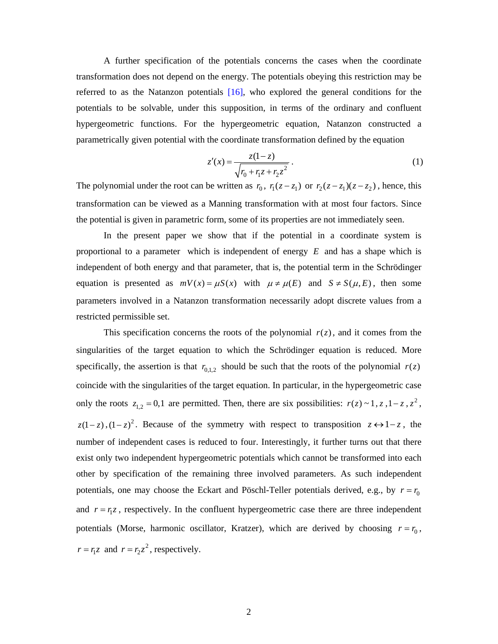A further specification of the potentials concerns the cases when the coordinate transformation does not depend on the energy. The potentials obeying this restriction may be referred to as the Natanzon potentials [16], who explored the general conditions for the potentials to be solvable, under this supposition, in terms of the ordinary and confluent hypergeometric functions. For the hypergeometric equation, Natanzon constructed a parametrically given potential with the coordinate transformation defined by the equation

$$
z'(x) = \frac{z(1-z)}{\sqrt{r_0 + r_1 z + r_2 z^2}}.
$$
 (1)

The polynomial under the root can be written as  $r_0$ ,  $r_1(z-z_1)$  or  $r_2(z-z_1)(z-z_2)$ , hence, this transformation can be viewed as a Manning transformation with at most four factors. Since the potential is given in parametric form, some of its properties are not immediately seen.

 In the present paper we show that if the potential in a coordinate system is proportional to a parameter which is independent of energy *E* and has a shape which is independent of both energy and that parameter, that is, the potential term in the Schrödinger equation is presented as  $mV(x) = \mu S(x)$  with  $\mu \neq \mu(E)$  and  $S \neq S(\mu, E)$ , then some parameters involved in a Natanzon transformation necessarily adopt discrete values from a restricted permissible set.

This specification concerns the roots of the polynomial  $r(z)$ , and it comes from the singularities of the target equation to which the Schrödinger equation is reduced. More specifically, the assertion is that  $r_{0,1,2}$  should be such that the roots of the polynomial  $r(z)$ coincide with the singularities of the target equation. In particular, in the hypergeometric case only the roots  $z_{1,2} = 0,1$  are permitted. Then, there are six possibilities:  $r(z) \sim 1, z, 1-z, z^2$ ,  $z(1-z)$ ,  $(1-z)^2$ . Because of the symmetry with respect to transposition  $z \leftrightarrow 1-z$ , the number of independent cases is reduced to four. Interestingly, it further turns out that there exist only two independent hypergeometric potentials which cannot be transformed into each other by specification of the remaining three involved parameters. As such independent potentials, one may choose the Eckart and Pöschl-Teller potentials derived, e.g., by  $r = r_0$ and  $r = r_1 z$ , respectively. In the confluent hypergeometric case there are three independent potentials (Morse, harmonic oscillator, Kratzer), which are derived by choosing  $r = r_0$ ,  $r = r_1 z$  and  $r = r_2 z^2$ , respectively.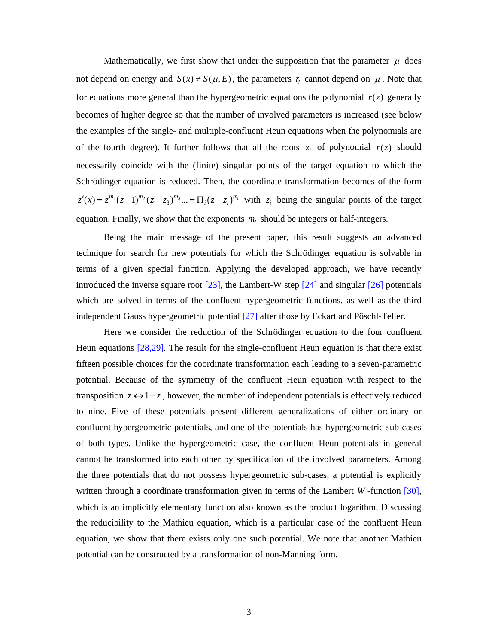Mathematically, we first show that under the supposition that the parameter  $\mu$  does not depend on energy and  $S(x) \neq S(\mu, E)$ , the parameters *r*<sub>i</sub> cannot depend on  $\mu$ . Note that for equations more general than the hypergeometric equations the polynomial  $r(z)$  generally becomes of higher degree so that the number of involved parameters is increased (see below the examples of the single- and multiple-confluent Heun equations when the polynomials are of the fourth degree). It further follows that all the roots  $z_i$  of polynomial  $r(z)$  should necessarily coincide with the (finite) singular points of the target equation to which the Schrödinger equation is reduced. Then, the coordinate transformation becomes of the form  $z'(x) = z^{m_1}(z-1)^{m_2}(z-z_3)^{m_3} \dots = \prod_i (z-z_i)^{m_i}$  with  $z_i$  being the singular points of the target equation. Finally, we show that the exponents  $m_i$  should be integers or half-integers.

 Being the main message of the present paper, this result suggests an advanced technique for search for new potentials for which the Schrödinger equation is solvable in terms of a given special function. Applying the developed approach, we have recently introduced the inverse square root  $[23]$ , the Lambert-W step  $[24]$  and singular  $[26]$  potentials which are solved in terms of the confluent hypergeometric functions, as well as the third independent Gauss hypergeometric potential [27] after those by Eckart and Pöschl-Teller.

 Here we consider the reduction of the Schrödinger equation to the four confluent Heun equations [28,29]. The result for the single-confluent Heun equation is that there exist fifteen possible choices for the coordinate transformation each leading to a seven-parametric potential. Because of the symmetry of the confluent Heun equation with respect to the transposition  $z \leftrightarrow 1-z$ , however, the number of independent potentials is effectively reduced to nine. Five of these potentials present different generalizations of either ordinary or confluent hypergeometric potentials, and one of the potentials has hypergeometric sub-cases of both types. Unlike the hypergeometric case, the confluent Heun potentials in general cannot be transformed into each other by specification of the involved parameters. Among the three potentials that do not possess hypergeometric sub-cases, a potential is explicitly written through a coordinate transformation given in terms of the Lambert *W* -function [30], which is an implicitly elementary function also known as the product logarithm. Discussing the reducibility to the Mathieu equation, which is a particular case of the confluent Heun equation, we show that there exists only one such potential. We note that another Mathieu potential can be constructed by a transformation of non-Manning form.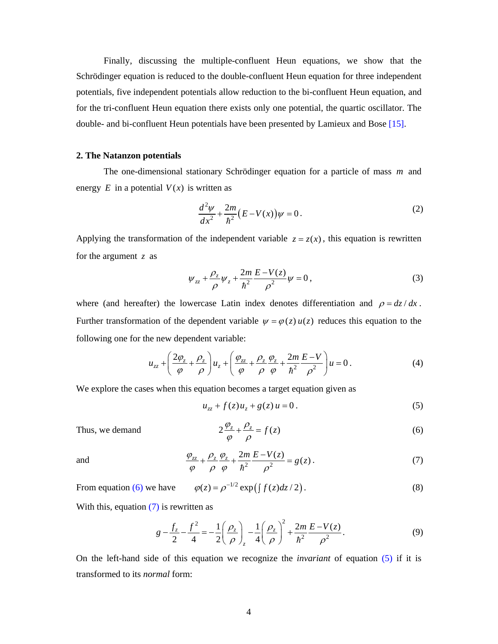Finally, discussing the multiple-confluent Heun equations, we show that the Schrödinger equation is reduced to the double-confluent Heun equation for three independent potentials, five independent potentials allow reduction to the bi-confluent Heun equation, and for the tri-confluent Heun equation there exists only one potential, the quartic oscillator. The double- and bi-confluent Heun potentials have been presented by Lamieux and Bose [15].

## **2. The Natanzon potentials**

 The one-dimensional stationary Schrödinger equation for a particle of mass *m* and energy  $E$  in a potential  $V(x)$  is written as

$$
\frac{d^2\psi}{dx^2} + \frac{2m}{\hbar^2} (E - V(x))\psi = 0.
$$
 (2)

Applying the transformation of the independent variable  $z = z(x)$ , this equation is rewritten for the argument *z* as

$$
\psi_{zz} + \frac{\rho_z}{\rho} \psi_z + \frac{2m}{\hbar^2} \frac{E - V(z)}{\rho^2} \psi = 0, \qquad (3)
$$

where (and hereafter) the lowercase Latin index denotes differentiation and  $\rho = dz/dx$ . Further transformation of the dependent variable  $\psi = \varphi(z) u(z)$  reduces this equation to the following one for the new dependent variable:

$$
u_{zz} + \left(\frac{2\varphi_z}{\varphi} + \frac{\rho_z}{\rho}\right)u_z + \left(\frac{\varphi_{zz}}{\varphi} + \frac{\rho_z}{\rho}\frac{\varphi_z}{\varphi} + \frac{2m}{\hbar^2}\frac{E-V}{\rho^2}\right)u = 0.
$$
 (4)

We explore the cases when this equation becomes a target equation given as

$$
u_{zz} + f(z)u_z + g(z)u = 0.
$$
 (5)

Thus, we demand 
$$
2\frac{\varphi_z}{\varphi} + \frac{\rho_z}{\rho} = f(z)
$$
 (6)

and 
$$
\frac{\varphi_{zz}}{\varphi} + \frac{\rho_z}{\rho} \frac{\varphi_z}{\varphi} + \frac{2m}{\hbar^2} \frac{E - V(z)}{\rho^2} = g(z).
$$
 (7)

From equation (6) we have 
$$
\varphi(z) = \rho^{-1/2} \exp\left(\int f(z) dz / 2\right)
$$
. (8)

With this, equation (7) is rewritten as

$$
g - \frac{f_z}{2} - \frac{f^2}{4} = -\frac{1}{2} \left( \frac{\rho_z}{\rho} \right)_z - \frac{1}{4} \left( \frac{\rho_z}{\rho} \right)^2 + \frac{2m}{\hbar^2} \frac{E - V(z)}{\rho^2}.
$$
 (9)

On the left-hand side of this equation we recognize the *invariant* of equation (5) if it is transformed to its *normal* form: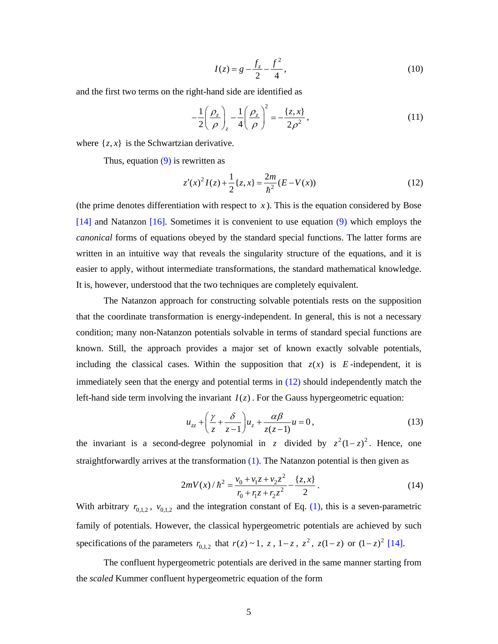$$
I(z) = g - \frac{f_z}{2} - \frac{f^2}{4},
$$
\n(10)

and the first two terms on the right-hand side are identified as

$$
-\frac{1}{2}\left(\frac{\rho_z}{\rho}\right)_z - \frac{1}{4}\left(\frac{\rho_z}{\rho}\right)^2 = -\frac{\{z,x\}}{2\rho^2},\tag{11}
$$

where  $\{z, x\}$  is the Schwartzian derivative.

Thus, equation  $(9)$  is rewritten as

$$
z'(x)^{2}I(z) + \frac{1}{2}\lbrace z, x \rbrace = \frac{2m}{\hbar^{2}}(E - V(x))
$$
\n(12)

(the prime denotes differentiation with respect to  $x$ ). This is the equation considered by Bose [14] and Natanzon [16]. Sometimes it is convenient to use equation (9) which employs the *canonical* forms of equations obeyed by the standard special functions. The latter forms are written in an intuitive way that reveals the singularity structure of the equations, and it is easier to apply, without intermediate transformations, the standard mathematical knowledge. It is, however, understood that the two techniques are completely equivalent.

 The Natanzon approach for constructing solvable potentials rests on the supposition that the coordinate transformation is energy-independent. In general, this is not a necessary condition; many non-Natanzon potentials solvable in terms of standard special functions are known. Still, the approach provides a major set of known exactly solvable potentials, including the classical cases. Within the supposition that  $z(x)$  is *E*-independent, it is immediately seen that the energy and potential terms in (12) should independently match the left-hand side term involving the invariant  $I(z)$ . For the Gauss hypergeometric equation:

$$
u_{zz} + \left(\frac{\gamma}{z} + \frac{\delta}{z - 1}\right)u_z + \frac{\alpha\beta}{z(z - 1)}u = 0,
$$
\n(13)

the invariant is a second-degree polynomial in *z* divided by  $z^2(1-z)^2$ . Hence, one straightforwardly arrives at the transformation  $(1)$ . The Natanzon potential is then given as

$$
2mV(x)/\hbar^2 = \frac{v_0 + v_1 z + v_2 z^2}{r_0 + r_1 z + r_2 z^2} - \frac{\{z, x\}}{2}.
$$
 (14)

With arbitrary  $r_{0,1,2}$ ,  $v_{0,1,2}$  and the integration constant of Eq. (1), this is a seven-parametric family of potentials. However, the classical hypergeometric potentials are achieved by such specifications of the parameters  $r_{0,1,2}$  that  $r(z) \sim 1$ ,  $z$ ,  $1-z$ ,  $z^2$ ,  $z(1-z)$  or  $(1-z)^2$  [14].

 The confluent hypergeometric potentials are derived in the same manner starting from the *scaled* Kummer confluent hypergeometric equation of the form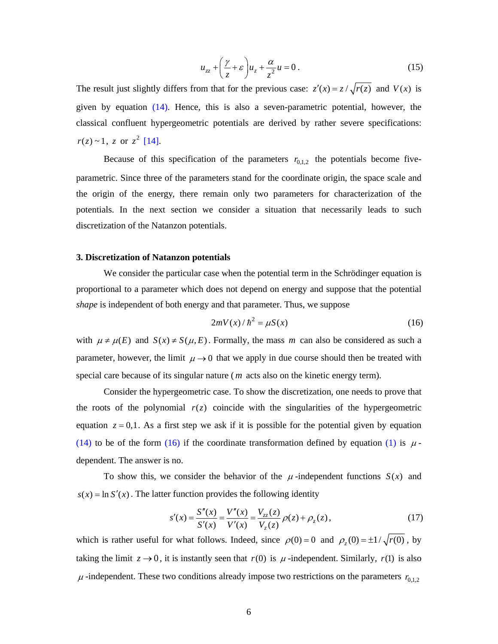$$
u_{zz} + \left(\frac{\gamma}{z} + \varepsilon\right)u_z + \frac{\alpha}{z^2}u = 0\,. \tag{15}
$$

The result just slightly differs from that for the previous case:  $z'(x) = z / \sqrt{r(z)}$  and  $V(x)$  is given by equation (14). Hence, this is also a seven-parametric potential, however, the classical confluent hypergeometric potentials are derived by rather severe specifications:  $r(z) \sim 1$ , *z* or  $z^2$  [14].

Because of this specification of the parameters  $r_{0,1,2}$  the potentials become fiveparametric. Since three of the parameters stand for the coordinate origin, the space scale and the origin of the energy, there remain only two parameters for characterization of the potentials. In the next section we consider a situation that necessarily leads to such discretization of the Natanzon potentials.

## **3. Discretization of Natanzon potentials**

 We consider the particular case when the potential term in the Schrödinger equation is proportional to a parameter which does not depend on energy and suppose that the potential *shape* is independent of both energy and that parameter. Thus, we suppose

$$
2mV(x)/\hbar^2 = \mu S(x) \tag{16}
$$

with  $\mu \neq \mu(E)$  and  $S(x) \neq S(\mu, E)$ . Formally, the mass *m* can also be considered as such a parameter, however, the limit  $\mu \rightarrow 0$  that we apply in due course should then be treated with special care because of its singular nature ( *m* acts also on the kinetic energy term).

 Consider the hypergeometric case. To show the discretization, one needs to prove that the roots of the polynomial  $r(z)$  coincide with the singularities of the hypergeometric equation  $z = 0,1$ . As a first step we ask if it is possible for the potential given by equation (14) to be of the form (16) if the coordinate transformation defined by equation (1) is  $\mu$ dependent. The answer is no.

To show this, we consider the behavior of the  $\mu$ -independent functions  $S(x)$  and  $s(x) = \ln S'(x)$ . The latter function provides the following identity

$$
s'(x) = \frac{S''(x)}{S'(x)} = \frac{V''(x)}{V'(x)} = \frac{V_{zz}(z)}{V_z(z)} \rho(z) + \rho_z(z),
$$
\n(17)

which is rather useful for what follows. Indeed, since  $\rho(0) = 0$  and  $\rho_z(0) = \pm 1/\sqrt{r(0)}$ , by taking the limit  $z \rightarrow 0$ , it is instantly seen that  $r(0)$  is  $\mu$ -independent. Similarly,  $r(1)$  is also  $\mu$ -independent. These two conditions already impose two restrictions on the parameters  $r_{0,1,2}$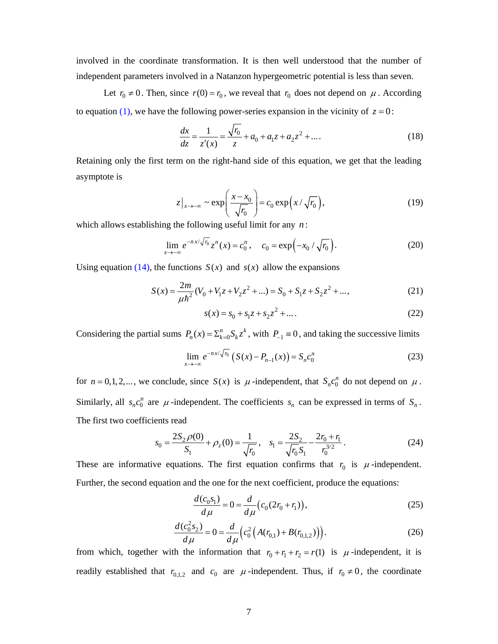involved in the coordinate transformation. It is then well understood that the number of independent parameters involved in a Natanzon hypergeometric potential is less than seven.

Let  $r_0 \neq 0$ . Then, since  $r(0) = r_0$ , we reveal that  $r_0$  does not depend on  $\mu$ . According to equation (1), we have the following power-series expansion in the vicinity of  $z = 0$ :

$$
\frac{dx}{dz} = \frac{1}{z'(x)} = \frac{\sqrt{r_0}}{z} + a_0 + a_1 z + a_2 z^2 + \dots
$$
 (18)

Retaining only the first term on the right-hand side of this equation, we get that the leading asymptote is

$$
z|_{x \to -\infty} \sim \exp\left(\frac{x - x_0}{\sqrt{r_0}}\right) = c_0 \exp\left(x / \sqrt{r_0}\right),\tag{19}
$$

which allows establishing the following useful limit for any *n* :

$$
\lim_{x \to -\infty} e^{-nx/\sqrt{r_0}} z^n(x) = c_0^n, \quad c_0 = \exp(-x_0/\sqrt{r_0}).
$$
\n(20)

Using equation (14), the functions  $S(x)$  and  $s(x)$  allow the expansions

$$
S(x) = \frac{2m}{\mu\hbar^2} (V_0 + V_1 z + V_2 z^2 + ...) = S_0 + S_1 z + S_2 z^2 + ...,\tag{21}
$$

$$
s(x) = s_0 + s_1 z + s_2 z^2 + \dots
$$
 (22)

Considering the partial sums  $P_n(x) = \sum_{k=0}^n S_k z^k$ , with  $P_{-1} \equiv 0$ , and taking the successive limits

$$
\lim_{x \to -\infty} e^{-nx/\sqrt{r_0}} \left( S(x) - P_{n-1}(x) \right) = S_n c_0^n \tag{23}
$$

for  $n = 0, 1, 2, \dots$ , we conclude, since  $S(x)$  is  $\mu$ -independent, that  $S_n c_0^n$  do not depend on  $\mu$ . Similarly, all  $s_n c_0^n$  are  $\mu$ -independent. The coefficients  $s_n$  can be expressed in terms of  $S_n$ . The first two coefficients read

$$
s_0 = \frac{2S_2 \rho(0)}{S_1} + \rho_z(0) = \frac{1}{\sqrt{r_0}}, \quad s_1 = \frac{2S_2}{\sqrt{r_0}S_1} - \frac{2r_0 + r_1}{r_0^{3/2}}.
$$
 (24)

These are informative equations. The first equation confirms that  $r_0$  is  $\mu$ -independent. Further, the second equation and the one for the next coefficient, produce the equations:

$$
\frac{d(c_0s_1)}{d\mu} = 0 = \frac{d}{d\mu}(c_0(2r_0 + r_1)),\tag{25}
$$

$$
\frac{d(c_0^2 s_2)}{d\mu} = 0 = \frac{d}{d\mu} \Big( c_0^2 \Big( A(r_{0,1}) + B(r_{0,1,2}) \Big) \Big). \tag{26}
$$

from which, together with the information that  $r_0 + r_1 + r_2 = r(1)$  is  $\mu$ -independent, it is readily established that  $r_{0,1,2}$  and  $c_0$  are  $\mu$ -independent. Thus, if  $r_0 \neq 0$ , the coordinate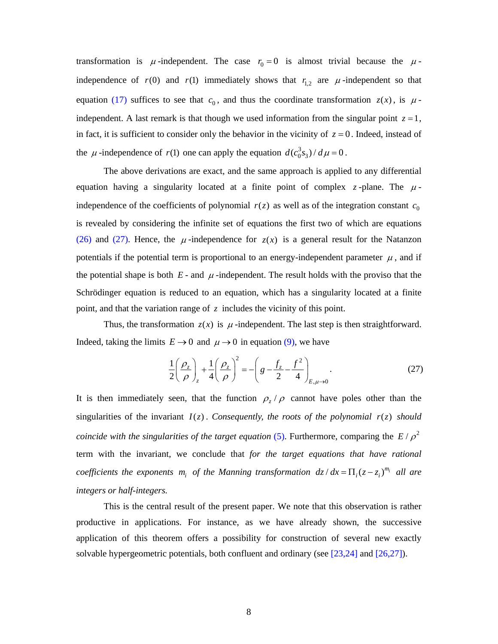transformation is  $\mu$ -independent. The case  $r_0 = 0$  is almost trivial because the  $\mu$ independence of  $r(0)$  and  $r(1)$  immediately shows that  $r_{1,2}$  are  $\mu$ -independent so that equation (17) suffices to see that  $c_0$ , and thus the coordinate transformation  $z(x)$ , is  $\mu$ independent. A last remark is that though we used information from the singular point  $z = 1$ , in fact, it is sufficient to consider only the behavior in the vicinity of  $z = 0$ . Indeed, instead of the  $\mu$ -independence of  $r(1)$  one can apply the equation  $d(c_0^3 s_3) / d\mu = 0$ .

 The above derivations are exact, and the same approach is applied to any differential equation having a singularity located at a finite point of complex  $z$ -plane. The  $\mu$ independence of the coefficients of polynomial  $r(z)$  as well as of the integration constant  $c_0$ is revealed by considering the infinite set of equations the first two of which are equations (26) and (27). Hence, the  $\mu$ -independence for  $z(x)$  is a general result for the Natanzon potentials if the potential term is proportional to an energy-independent parameter  $\mu$ , and if the potential shape is both  $E$ - and  $\mu$ -independent. The result holds with the proviso that the Schrödinger equation is reduced to an equation, which has a singularity located at a finite point, and that the variation range of *z* includes the vicinity of this point.

Thus, the transformation  $z(x)$  is  $\mu$ -independent. The last step is then straightforward. Indeed, taking the limits  $E \to 0$  and  $\mu \to 0$  in equation (9), we have

$$
\frac{1}{2}\left(\frac{\rho_z}{\rho}\right)_z + \frac{1}{4}\left(\frac{\rho_z}{\rho}\right)^2 = -\left(g - \frac{f_z}{2} - \frac{f^2}{4}\right)_{E,\mu \to 0}.
$$
\n(27)

It is then immediately seen, that the function  $\rho$ ,  $\rho$  cannot have poles other than the singularities of the invariant  $I(z)$ . Consequently, the roots of the polynomial  $r(z)$  should *coincide with the singularities of the target equation* (5). Furthermore, comparing the  $E/\rho^2$ term with the invariant, we conclude that *for the target equations that have rational coefficients the exponents*  $m_i$  *of the Manning transformation*  $dz/dx = \prod_i (z - z_i)^{m_i}$  *all are integers or half-integers.*

 This is the central result of the present paper. We note that this observation is rather productive in applications. For instance, as we have already shown, the successive application of this theorem offers a possibility for construction of several new exactly solvable hypergeometric potentials, both confluent and ordinary (see [23,24] and [26,27]).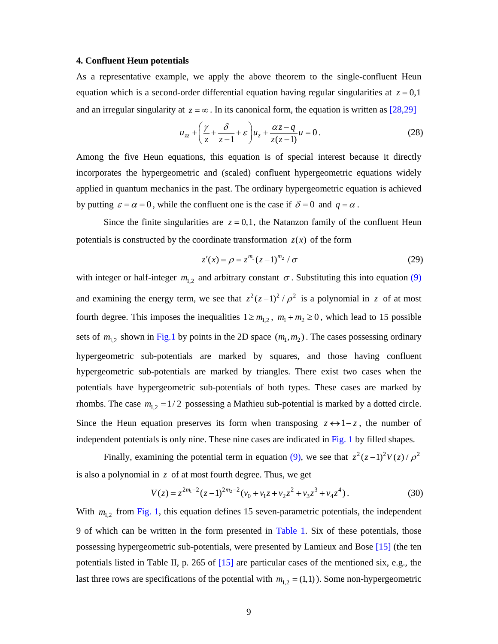### **4. Confluent Heun potentials**

As a representative example, we apply the above theorem to the single-confluent Heun equation which is a second-order differential equation having regular singularities at  $z = 0.1$ and an irregular singularity at  $z = \infty$ . In its canonical form, the equation is written as [28,29]

$$
u_{zz} + \left(\frac{\gamma}{z} + \frac{\delta}{z - 1} + \varepsilon\right) u_z + \frac{\alpha z - q}{z(z - 1)} u = 0.
$$
 (28)

Among the five Heun equations, this equation is of special interest because it directly incorporates the hypergeometric and (scaled) confluent hypergeometric equations widely applied in quantum mechanics in the past. The ordinary hypergeometric equation is achieved by putting  $\varepsilon = \alpha = 0$ , while the confluent one is the case if  $\delta = 0$  and  $q = \alpha$ .

Since the finite singularities are  $z = 0,1$ , the Natanzon family of the confluent Heun potentials is constructed by the coordinate transformation  $z(x)$  of the form

$$
z'(x) = \rho = z^{m_1} (z - 1)^{m_2} / \sigma
$$
 (29)

with integer or half-integer  $m_{1,2}$  and arbitrary constant  $\sigma$ . Substituting this into equation (9) and examining the energy term, we see that  $z^2(z-1)^2/\rho^2$  is a polynomial in z of at most fourth degree. This imposes the inequalities  $1 \ge m_{1,2}$ ,  $m_1 + m_2 \ge 0$ , which lead to 15 possible sets of  $m_{1,2}$  shown in Fig.1 by points in the 2D space  $(m_1, m_2)$ . The cases possessing ordinary hypergeometric sub-potentials are marked by squares, and those having confluent hypergeometric sub-potentials are marked by triangles. There exist two cases when the potentials have hypergeometric sub-potentials of both types. These cases are marked by rhombs. The case  $m_{1,2} = 1/2$  possessing a Mathieu sub-potential is marked by a dotted circle. Since the Heun equation preserves its form when transposing  $z \leftrightarrow 1-z$ , the number of independent potentials is only nine. These nine cases are indicated in Fig. 1 by filled shapes.

Finally, examining the potential term in equation (9), we see that  $z^2(z-1)^2V(z)/\rho^2$ is also a polynomial in *z* of at most fourth degree. Thus, we get

$$
V(z) = z^{2m_1 - 2} (z - 1)^{2m_2 - 2} (v_0 + v_1 z + v_2 z^2 + v_3 z^3 + v_4 z^4).
$$
 (30)

With  $m_{1,2}$  from Fig. 1, this equation defines 15 seven-parametric potentials, the independent 9 of which can be written in the form presented in Table 1. Six of these potentials, those possessing hypergeometric sub-potentials, were presented by Lamieux and Bose [15] (the ten potentials listed in Table II, p. 265 of [15] are particular cases of the mentioned six, e.g., the last three rows are specifications of the potential with  $m_{1,2} = (1,1)$ ). Some non-hypergeometric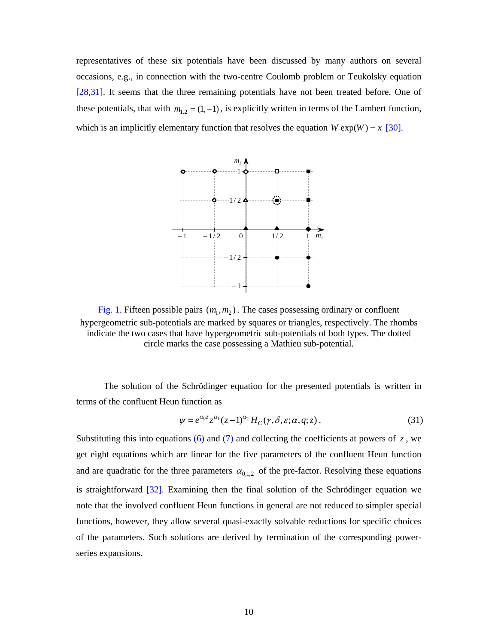representatives of these six potentials have been discussed by many authors on several occasions, e.g., in connection with the two-centre Coulomb problem or Teukolsky equation [28,31]. It seems that the three remaining potentials have not been treated before. One of these potentials, that with  $m_{1,2} = (1, -1)$ , is explicitly written in terms of the Lambert function, which is an implicitly elementary function that resolves the equation  $W \exp(W) = x$  [30].



Fig. 1. Fifteen possible pairs  $(m_1, m_2)$ . The cases possessing ordinary or confluent hypergeometric sub-potentials are marked by squares or triangles, respectively. The rhombs indicate the two cases that have hypergeometric sub-potentials of both types. The dotted circle marks the case possessing a Mathieu sub-potential.

 The solution of the Schrödinger equation for the presented potentials is written in terms of the confluent Heun function as

$$
\psi = e^{\alpha_0 z} z^{\alpha_1} (z-1)^{\alpha_2} H_C(\gamma, \delta, \varepsilon; \alpha, q; z).
$$
\n(31)

Substituting this into equations (6) and (7) and collecting the coefficients at powers of  $z$ , we get eight equations which are linear for the five parameters of the confluent Heun function and are quadratic for the three parameters  $\alpha_{0,1,2}$  of the pre-factor. Resolving these equations is straightforward [32]. Examining then the final solution of the Schrödinger equation we note that the involved confluent Heun functions in general are not reduced to simpler special functions, however, they allow several quasi-exactly solvable reductions for specific choices of the parameters. Such solutions are derived by termination of the corresponding powerseries expansions.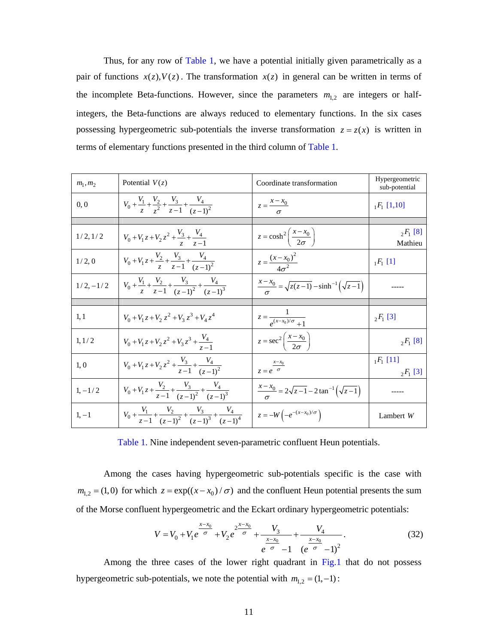Thus, for any row of Table 1, we have a potential initially given parametrically as a pair of functions  $x(z)$ ,  $V(z)$ . The transformation  $x(z)$  in general can be written in terms of the incomplete Beta-functions. However, since the parameters  $m_{1,2}$  are integers or halfintegers, the Beta-functions are always reduced to elementary functions. In the six cases possessing hypergeometric sub-potentials the inverse transformation  $z = z(x)$  is written in terms of elementary functions presented in the third column of Table 1.

| $m_1, m_2$  | Potential $V(z)$                                                                          | Coordinate transformation                                           | Hypergeometric<br>sub-potential |
|-------------|-------------------------------------------------------------------------------------------|---------------------------------------------------------------------|---------------------------------|
| 0.0         | $V_0 + \frac{V_1}{z} + \frac{V_2}{z^2} + \frac{V_3}{z-1} + \frac{V_4}{(z-1)^2}$           | $z = \frac{x - x_0}{\sigma}$                                        | $_1F_1$ [1,10]                  |
|             |                                                                                           |                                                                     |                                 |
| 1/2, 1/2    | $V_0 + V_1 z + V_2 z^2 + \frac{V_3}{z} + \frac{V_4}{z-1}$                                 | $z = \cosh^2\left(\frac{x - x_0}{2\sigma}\right)$                   | $E_1$ [8]<br>Mathieu            |
| 1/2,0       | $V_0 + V_1 z + \frac{V_2}{z} + \frac{V_3}{z-1} + \frac{V_4}{(z-1)^2}$                     | $z = \frac{(x - x_0)^2}{4\sigma^2}$                                 | $_1F_1$ [1]                     |
| $1/2, -1/2$ | $V_0 + \frac{V_1}{z} + \frac{V_2}{z-1} + \frac{V_3}{(z-1)^2} + \frac{V_4}{(z-1)^3}$       | $\frac{x - x_0}{\sigma} = \sqrt{z(z-1)} - \sinh^{-1}(\sqrt{z-1})$   |                                 |
|             |                                                                                           |                                                                     |                                 |
| 1,1         | $V_0 + V_1 z + V_2 z^2 + V_3 z^3 + V_4 z^4$                                               | $z = \frac{1}{e^{(x-x_0)/\sigma}+1}$                                | $_{2}F_{1}$ [3]                 |
| 1, 1/2      | $V_0 + V_1 z + V_2 z^2 + V_3 z^3 + \frac{V_4}{z-1}$                                       | $z = \sec^2\left(\frac{x - x_0}{2\sigma}\right)$                    | $_2F_1$ [8]                     |
| 1,0         | $V_0 + V_1 z + V_2 z^2 + \frac{V_3}{z-1} + \frac{V_4}{(z-1)^2}$                           | $z = e^{\frac{x - x_0}{\sigma}}$                                    | $E_1$ [11]<br>$_2F_1$ [3]       |
| $1, -1/2$   | $V_0 + V_1 z + \frac{V_2}{z-1} + \frac{V_3}{(z-1)^2} + \frac{V_4}{(z-1)^3}$               | $\frac{x - x_0}{\sigma} = 2\sqrt{z - 1} - 2\tan^{-1}(\sqrt{z - 1})$ |                                 |
| $1, -1$     | $V_0 + \frac{V_1}{z-1} + \frac{V_2}{(z-1)^2} + \frac{V_3}{(z-1)^3} + \frac{V_4}{(z-1)^4}$ | $z = -W\left(-e^{-(x-x_0)/\sigma}\right)$                           | Lambert $W$                     |

Table 1. Nine independent seven-parametric confluent Heun potentials.

 Among the cases having hypergeometric sub-potentials specific is the case with  $m_{1,2} = (1,0)$  for which  $z = \exp((x - x_0) / \sigma)$  and the confluent Heun potential presents the sum of the Morse confluent hypergeometric and the Eckart ordinary hypergeometric potentials:

$$
V = V_0 + V_1 e^{\frac{x - x_0}{\sigma}} + V_2 e^{\frac{2^{x - x_0}}{\sigma}} + \frac{V_3}{e^{\frac{x - x_0}{\sigma}} - 1} + \frac{V_4}{(e^{\frac{x - x_0}{\sigma}} - 1)^2}.
$$
 (32)

 Among the three cases of the lower right quadrant in Fig.1 that do not possess hypergeometric sub-potentials, we note the potential with  $m_{1,2} = (1, -1)$ :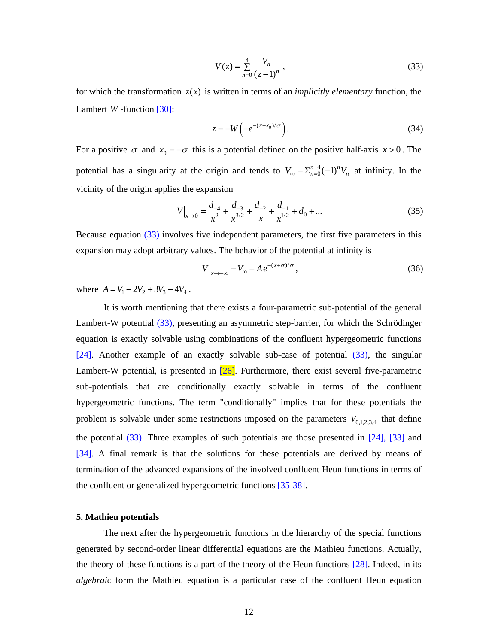$$
V(z) = \sum_{n=0}^{4} \frac{V_n}{(z-1)^n},
$$
\n(33)

for which the transformation  $z(x)$  is written in terms of an *implicitly elementary* function, the Lambert *W* -function [30]:

$$
z = -W\left(-e^{-(x-x_0)/\sigma}\right). \tag{34}
$$

For a positive  $\sigma$  and  $x_0 = -\sigma$  this is a potential defined on the positive half-axis  $x > 0$ . The potential has a singularity at the origin and tends to  $V_{\infty} = \sum_{n=0}^{n=4} (-1)^n V_n$  at infinity. In the vicinity of the origin applies the expansion

$$
V\Big|_{x \to 0} = \frac{d_{-4}}{x^2} + \frac{d_{-3}}{x^{3/2}} + \frac{d_{-2}}{x} + \frac{d_{-1}}{x^{1/2}} + d_0 + \dots
$$
 (35)

Because equation (33) involves five independent parameters, the first five parameters in this expansion may adopt arbitrary values. The behavior of the potential at infinity is

$$
V\Big|_{x\to+\infty} = V_{\infty} - Ae^{-(x+\sigma)/\sigma},\tag{36}
$$

where  $A = V_1 - 2V_2 + 3V_3 - 4V_4$ .

 It is worth mentioning that there exists a four-parametric sub-potential of the general Lambert-W potential (33), presenting an asymmetric step-barrier, for which the Schrödinger equation is exactly solvable using combinations of the confluent hypergeometric functions [24]. Another example of an exactly solvable sub-case of potential (33), the singular Lambert-W potential, is presented in [26]. Furthermore, there exist several five-parametric sub-potentials that are conditionally exactly solvable in terms of the confluent hypergeometric functions. The term "conditionally" implies that for these potentials the problem is solvable under some restrictions imposed on the parameters  $V_{0,1,2,3,4}$  that define the potential (33). Three examples of such potentials are those presented in [24], [33] and [34]. A final remark is that the solutions for these potentials are derived by means of termination of the advanced expansions of the involved confluent Heun functions in terms of the confluent or generalized hypergeometric functions [35-38].

#### **5. Mathieu potentials**

 The next after the hypergeometric functions in the hierarchy of the special functions generated by second-order linear differential equations are the Mathieu functions. Actually, the theory of these functions is a part of the theory of the Heun functions [28]. Indeed, in its *algebraic* form the Mathieu equation is a particular case of the confluent Heun equation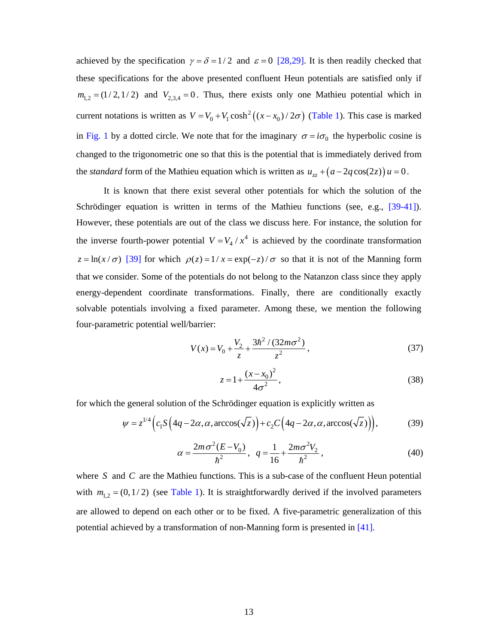achieved by the specification  $\gamma = \delta = 1/2$  and  $\varepsilon = 0$  [28,29]. It is then readily checked that these specifications for the above presented confluent Heun potentials are satisfied only if  $m_{1,2} = (1/2,1/2)$  and  $V_{2,3,4} = 0$ . Thus, there exists only one Mathieu potential which in current notations is written as  $V = V_0 + V_1 \cosh^2((x - x_0)/2\sigma)$  (Table 1). This case is marked in Fig. 1 by a dotted circle. We note that for the imaginary  $\sigma = i\sigma_0$  the hyperbolic cosine is changed to the trigonometric one so that this is the potential that is immediately derived from the *standard* form of the Mathieu equation which is written as  $u_{zz} + (a - 2q \cos(2z))u = 0$ .

 It is known that there exist several other potentials for which the solution of the Schrödinger equation is written in terms of the Mathieu functions (see, e.g., [39-41]). However, these potentials are out of the class we discuss here. For instance, the solution for the inverse fourth-power potential  $V = V_4 / x^4$  is achieved by the coordinate transformation  $z = ln(x/\sigma)$  [39] for which  $\rho(z) = 1/x = exp(-z)/\sigma$  so that it is not of the Manning form that we consider. Some of the potentials do not belong to the Natanzon class since they apply energy-dependent coordinate transformations. Finally, there are conditionally exactly solvable potentials involving a fixed parameter. Among these, we mention the following four-parametric potential well/barrier:

$$
V(x) = V_0 + \frac{V_2}{z} + \frac{3\hbar^2/(32m\sigma^2)}{z^2},
$$
\n(37)

$$
z = 1 + \frac{(x - x_0)^2}{4\sigma^2},
$$
\n(38)

for which the general solution of the Schrödinger equation is explicitly written as

$$
\psi = z^{1/4} \Big( c_1 S \Big( 4q - 2\alpha, \alpha, \arccos(\sqrt{z}) \Big) + c_2 C \Big( 4q - 2\alpha, \alpha, \arccos(\sqrt{z}) \Big) \Big), \tag{39}
$$

$$
\alpha = \frac{2m\sigma^2 (E - V_0)}{\hbar^2}, \quad q = \frac{1}{16} + \frac{2m\sigma^2 V_2}{\hbar^2},\tag{40}
$$

where *S* and *C* are the Mathieu functions. This is a sub-case of the confluent Heun potential with  $m_{1,2} = (0,1/2)$  (see Table 1). It is straightforwardly derived if the involved parameters are allowed to depend on each other or to be fixed. A five-parametric generalization of this potential achieved by a transformation of non-Manning form is presented in [41].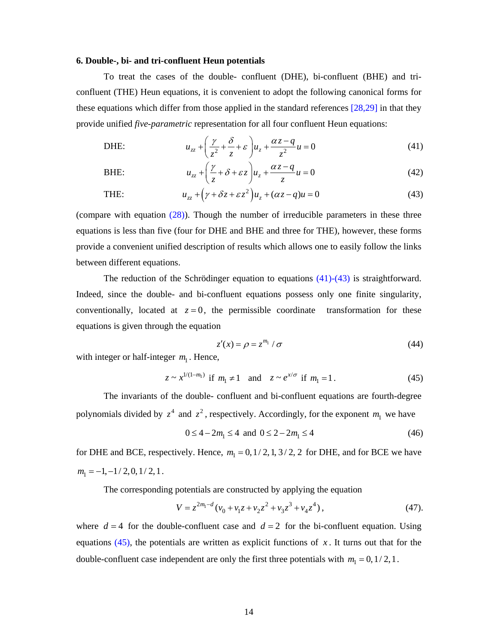### **6. Double-, bi- and tri-confluent Heun potentials**

To treat the cases of the double- confluent (DHE), bi-confluent (BHE) and triconfluent (THE) Heun equations, it is convenient to adopt the following canonical forms for these equations which differ from those applied in the standard references [28,29] in that they provide unified *five-parametric* representation for all four confluent Heun equations:

DHE: 
$$
u_{zz} + \left(\frac{\gamma}{z^2} + \frac{\delta}{z} + \varepsilon\right)u_z + \frac{\alpha z - q}{z^2}u = 0
$$
 (41)

BHE: 
$$
u_{zz} + \left(\frac{\gamma}{z} + \delta + \varepsilon z\right)u_z + \frac{\alpha z - q}{z}u = 0
$$
 (42)

THE: 
$$
u_{zz} + (\gamma + \delta z + \varepsilon z^2)u_z + (\alpha z - q)u = 0
$$
 (43)

(compare with equation (28)). Though the number of irreducible parameters in these three equations is less than five (four for DHE and BHE and three for THE), however, these forms provide a convenient unified description of results which allows one to easily follow the links between different equations.

 The reduction of the Schrödinger equation to equations (41)-(43) is straightforward. Indeed, since the double- and bi-confluent equations possess only one finite singularity, conventionally, located at  $z = 0$ , the permissible coordinate transformation for these equations is given through the equation

$$
z'(x) = \rho = z^{m_1} / \sigma \tag{44}
$$

with integer or half-integer  $m<sub>1</sub>$ . Hence,

$$
z \sim x^{1/(1-m_1)}
$$
 if  $m_1 \neq 1$  and  $z \sim e^{x/\sigma}$  if  $m_1 = 1$ . (45)

 The invariants of the double- confluent and bi-confluent equations are fourth-degree polynomials divided by  $z^4$  and  $z^2$ , respectively. Accordingly, for the exponent  $m_1$  we have

$$
0 \le 4 - 2m_1 \le 4 \text{ and } 0 \le 2 - 2m_1 \le 4 \tag{46}
$$

for DHE and BCE, respectively. Hence,  $m_1 = 0, 1/2, 1, 3/2, 2$  for DHE, and for BCE we have  $m_1 = -1, -1/2, 0, 1/2, 1$ .

The corresponding potentials are constructed by applying the equation

$$
V = z^{2m_1 - d} (v_0 + v_1 z + v_2 z^2 + v_3 z^3 + v_4 z^4),
$$
 (47).

where  $d = 4$  for the double-confluent case and  $d = 2$  for the bi-confluent equation. Using equations  $(45)$ , the potentials are written as explicit functions of x. It turns out that for the double-confluent case independent are only the first three potentials with  $m_1 = 0, 1/2, 1$ .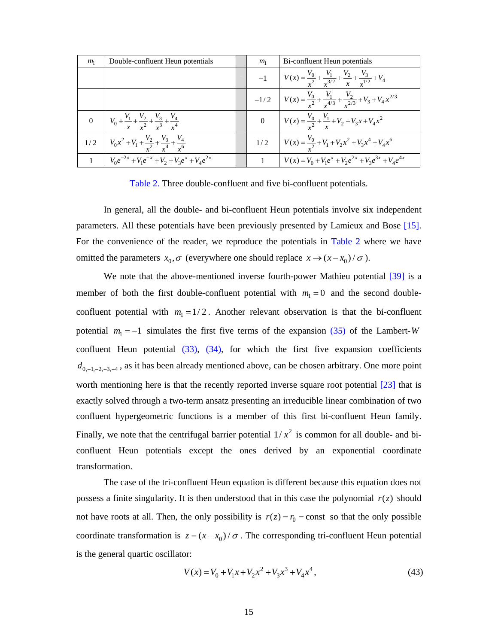| m <sub>1</sub> | Double-confluent Heun potentials                                              | m <sub>1</sub> | Bi-confluent Heun potentials                                                                    |
|----------------|-------------------------------------------------------------------------------|----------------|-------------------------------------------------------------------------------------------------|
|                |                                                                               |                | -1 $V(x) = \frac{V_0}{r^2} + \frac{V_1}{r^{3/2}} + \frac{V_2}{x} + \frac{V_3}{r^{1/2}} + V_4$   |
|                |                                                                               |                | $-1/2$ $V(x) = \frac{V_0}{r^2} + \frac{V_1}{r^{4/3}} + \frac{V_2}{r^{2/3}} + V_3 + V_4 x^{2/3}$ |
|                | 0 $V_0 + \frac{V_1}{x} + \frac{V_2}{x^2} + \frac{V_3}{x^3} + \frac{V_4}{x^4}$ |                | 0 $V(x) = \frac{V_0}{x^2} + \frac{V_1}{x} + V_2 + V_3 x + V_4 x^2$                              |
|                | 1/2 $V_0x^2 + V_1 + \frac{V_2}{r^2} + \frac{V_3}{r^4} + \frac{V_4}{r^6}$      |                | 1/2 $V(x) = \frac{V_0}{x^2} + V_1 + V_2 x^2 + V_3 x^4 + V_4 x^6$                                |
|                | 1 $V_0e^{-2x} + V_1e^{-x} + V_2 + V_3e^{x} + V_4e^{2x}$                       |                | 1 $V(x) = V_0 + V_1 e^x + V_2 e^{2x} + V_3 e^{3x} + V_4 e^{4x}$                                 |

Table 2. Three double-confluent and five bi-confluent potentials.

 In general, all the double- and bi-confluent Heun potentials involve six independent parameters. All these potentials have been previously presented by Lamieux and Bose [15]. For the convenience of the reader, we reproduce the potentials in Table 2 where we have omitted the parameters  $x_0, \sigma$  (everywhere one should replace  $x \rightarrow (x-x_0)/\sigma$ ).

We note that the above-mentioned inverse fourth-power Mathieu potential [39] is a member of both the first double-confluent potential with  $m_1 = 0$  and the second doubleconfluent potential with  $m_1 = 1/2$ . Another relevant observation is that the bi-confluent potential  $m_1 = -1$  simulates the first five terms of the expansion (35) of the Lambert-*W* confluent Heun potential (33), (34), for which the first five expansion coefficients  $d_{0,-1,-2,-3,-4}$ , as it has been already mentioned above, can be chosen arbitrary. One more point worth mentioning here is that the recently reported inverse square root potential [23] that is exactly solved through a two-term ansatz presenting an irreducible linear combination of two confluent hypergeometric functions is a member of this first bi-confluent Heun family. Finally, we note that the centrifugal barrier potential  $1/x^2$  is common for all double- and biconfluent Heun potentials except the ones derived by an exponential coordinate transformation.

 The case of the tri-confluent Heun equation is different because this equation does not possess a finite singularity. It is then understood that in this case the polynomial  $r(z)$  should not have roots at all. Then, the only possibility is  $r(z) = r_0 = \text{const}$  so that the only possible coordinate transformation is  $z = (x - x_0) / \sigma$ . The corresponding tri-confluent Heun potential is the general quartic oscillator:

$$
V(x) = V_0 + V_1 x + V_2 x^2 + V_3 x^3 + V_4 x^4,
$$
\n(43)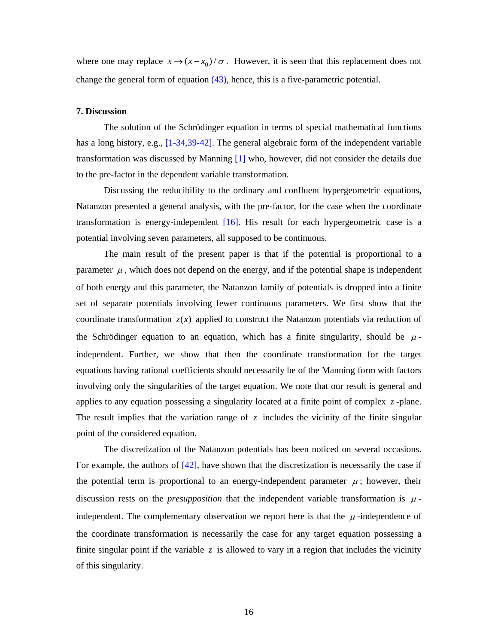where one may replace  $x \rightarrow (x-x_0)/\sigma$ . However, it is seen that this replacement does not change the general form of equation  $(43)$ , hence, this is a five-parametric potential.

## **7. Discussion**

The solution of the Schrödinger equation in terms of special mathematical functions has a long history, e.g., [1-34,39-42]. The general algebraic form of the independent variable transformation was discussed by Manning [1] who, however, did not consider the details due to the pre-factor in the dependent variable transformation.

 Discussing the reducibility to the ordinary and confluent hypergeometric equations, Natanzon presented a general analysis, with the pre-factor, for the case when the coordinate transformation is energy-independent [16]. His result for each hypergeometric case is a potential involving seven parameters, all supposed to be continuous.

 The main result of the present paper is that if the potential is proportional to a parameter  $\mu$ , which does not depend on the energy, and if the potential shape is independent of both energy and this parameter, the Natanzon family of potentials is dropped into a finite set of separate potentials involving fewer continuous parameters. We first show that the coordinate transformation  $z(x)$  applied to construct the Natanzon potentials via reduction of the Schrödinger equation to an equation, which has a finite singularity, should be  $\mu$ independent. Further, we show that then the coordinate transformation for the target equations having rational coefficients should necessarily be of the Manning form with factors involving only the singularities of the target equation. We note that our result is general and applies to any equation possessing a singularity located at a finite point of complex *z* -plane. The result implies that the variation range of  $z$  includes the vicinity of the finite singular point of the considered equation.

 The discretization of the Natanzon potentials has been noticed on several occasions. For example, the authors of  $[42]$ , have shown that the discretization is necessarily the case if the potential term is proportional to an energy-independent parameter  $\mu$ ; however, their discussion rests on the *presupposition* that the independent variable transformation is  $\mu$ independent. The complementary observation we report here is that the  $\mu$ -independence of the coordinate transformation is necessarily the case for any target equation possessing a finite singular point if the variable *z* is allowed to vary in a region that includes the vicinity of this singularity.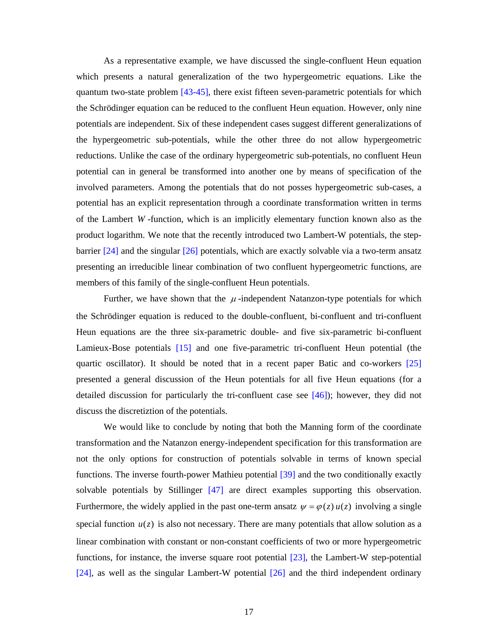As a representative example, we have discussed the single-confluent Heun equation which presents a natural generalization of the two hypergeometric equations. Like the quantum two-state problem [43-45], there exist fifteen seven-parametric potentials for which the Schrödinger equation can be reduced to the confluent Heun equation. However, only nine potentials are independent. Six of these independent cases suggest different generalizations of the hypergeometric sub-potentials, while the other three do not allow hypergeometric reductions. Unlike the case of the ordinary hypergeometric sub-potentials, no confluent Heun potential can in general be transformed into another one by means of specification of the involved parameters. Among the potentials that do not posses hypergeometric sub-cases, a potential has an explicit representation through a coordinate transformation written in terms of the Lambert *W* -function, which is an implicitly elementary function known also as the product logarithm. We note that the recently introduced two Lambert-W potentials, the stepbarrier [24] and the singular [26] potentials, which are exactly solvable via a two-term ansatz presenting an irreducible linear combination of two confluent hypergeometric functions, are members of this family of the single-confluent Heun potentials.

Further, we have shown that the  $\mu$ -independent Natanzon-type potentials for which the Schrödinger equation is reduced to the double-confluent, bi-confluent and tri-confluent Heun equations are the three six-parametric double- and five six-parametric bi-confluent Lamieux-Bose potentials [15] and one five-parametric tri-confluent Heun potential (the quartic oscillator). It should be noted that in a recent paper Batic and co-workers [25] presented a general discussion of the Heun potentials for all five Heun equations (for a detailed discussion for particularly the tri-confluent case see [46]); however, they did not discuss the discretiztion of the potentials.

 We would like to conclude by noting that both the Manning form of the coordinate transformation and the Natanzon energy-independent specification for this transformation are not the only options for construction of potentials solvable in terms of known special functions. The inverse fourth-power Mathieu potential [39] and the two conditionally exactly solvable potentials by Stillinger [47] are direct examples supporting this observation. Furthermore, the widely applied in the past one-term ansatz  $\psi = \varphi(z) u(z)$  involving a single special function  $u(z)$  is also not necessary. There are many potentials that allow solution as a linear combination with constant or non-constant coefficients of two or more hypergeometric functions, for instance, the inverse square root potential [23], the Lambert-W step-potential [24], as well as the singular Lambert-W potential [26] and the third independent ordinary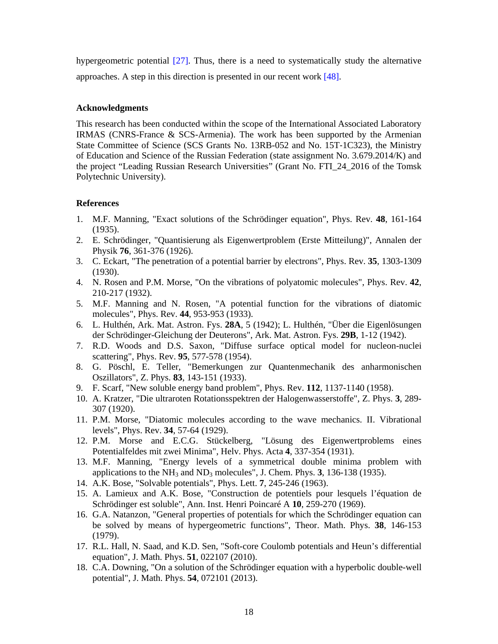hypergeometric potential [27]. Thus, there is a need to systematically study the alternative approaches. A step in this direction is presented in our recent work [48].

# **Acknowledgments**

This research has been conducted within the scope of the International Associated Laboratory IRMAS (CNRS-France & SCS-Armenia). The work has been supported by the Armenian State Committee of Science (SCS Grants No. 13RB-052 and No. 15T‐1C323), the Ministry of Education and Science of the Russian Federation (state assignment No. 3.679.2014/K) and the project "Leading Russian Research Universities" (Grant No. FTI\_24\_2016 of the Tomsk Polytechnic University).

## **References**

- 1. M.F. Manning, "Exact solutions of the Schrödinger equation", Phys. Rev. **48**, 161-164 (1935).
- 2. E. Schrödinger, "Quantisierung als Eigenwertproblem (Erste Mitteilung)", Annalen der Physik **76**, 361-376 (1926).
- 3. C. Eckart, "The penetration of a potential barrier by electrons", Phys. Rev. **35**, 1303-1309 (1930).
- 4. N. Rosen and P.M. Morse, "On the vibrations of polyatomic molecules", Phys. Rev. **42**, 210-217 (1932).
- 5. M.F. Manning and N. Rosen, "A potential function for the vibrations of diatomic molecules", Phys. Rev. **44**, 953-953 (1933).
- 6. L. Hulthén, Ark. Mat. Astron. Fys. **28A**, 5 (1942); L. Hulthén, "Über die Eigenlösungen der Schrödinger-Gleichung der Deuterons", Ark. Mat. Astron. Fys. **29B**, 1-12 (1942).
- 7. R.D. Woods and D.S. Saxon, "Diffuse surface optical model for nucleon-nuclei scattering", Phys. Rev. **95**, 577-578 (1954).
- 8. G. Pöschl, E. Teller, "Bemerkungen zur Quantenmechanik des anharmonischen Oszillators", Z. Phys. **83**, 143-151 (1933).
- 9. F. Scarf, "New soluble energy band problem", Phys. Rev. **112**, 1137-1140 (1958).
- 10. A. Kratzer, "Die ultraroten Rotationsspektren der Halogenwasserstoffe", Z. Phys. **3**, 289- 307 (1920).
- 11. P.M. Morse, "Diatomic molecules according to the wave mechanics. II. Vibrational levels", Phys. Rev. **34**, 57-64 (1929).
- 12. P.M. Morse and E.C.G. Stückelberg, "Lösung des Eigenwertproblems eines Potentialfeldes mit zwei Minima", Helv. Phys. Acta **4**, 337-354 (1931).
- 13. M.F. Manning, "Energy levels of a symmetrical double minima problem with applications to the NH3 and ND3 molecules", J. Chem. Phys. **3**, 136-138 (1935).
- 14. A.K. Bose, "Solvable potentials", Phys. Lett. **7**, 245-246 (1963).
- 15. A. Lamieux and A.K. Bose, "Construction de potentiels pour lesquels l'équation de Schrödinger est soluble", Ann. Inst. Henri Poincaré A **10**, 259-270 (1969).
- 16. G.A. Natanzon, "General properties of potentials for which the Schrödinger equation can be solved by means of hypergeometric functions", Theor. Math. Phys. **38**, 146-153 (1979).
- 17. R.L. Hall, N. Saad, and K.D. Sen, "Soft-core Coulomb potentials and Heun's differential equation", J. Math. Phys. **51**, 022107 (2010).
- 18. C.A. Downing, "On a solution of the Schrödinger equation with a hyperbolic double-well potential", J. Math. Phys. **54**, 072101 (2013).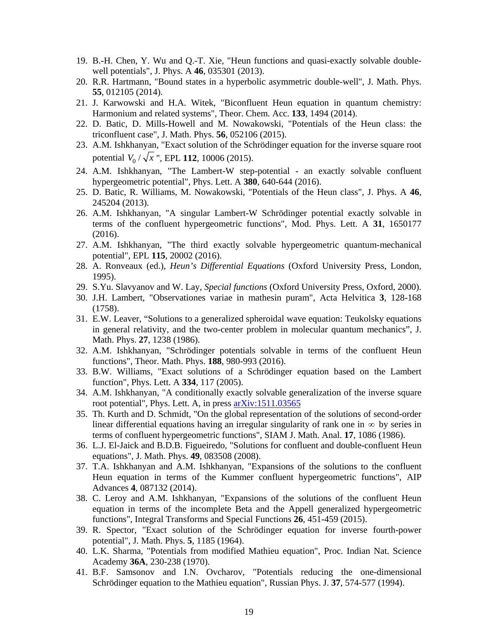- 19. B.-H. Chen, Y. Wu and Q.-T. Xie, "Heun functions and quasi-exactly solvable doublewell potentials", J. Phys. A **46**, 035301 (2013).
- 20. R.R. Hartmann, "Bound states in a hyperbolic asymmetric double-well", J. Math. Phys. **55**, 012105 (2014).
- 21. J. Karwowski and H.A. Witek, "Biconfluent Heun equation in quantum chemistry: Harmonium and related systems", Theor. Chem. Acc. **133**, 1494 (2014).
- 22. D. Batic, D. Mills-Howell and M. Nowakowski, "Potentials of the Heun class: the triconfluent case", J. Math. Phys. **56**, 052106 (2015).
- 23. A.M. Ishkhanyan, "Exact solution of the Schrödinger equation for the inverse square root potential  $V_0 / \sqrt{x}$  ", EPL 112, 10006 (2015).
- 24. A.M. Ishkhanyan, "The Lambert-W step-potential an exactly solvable confluent hypergeometric potential", Phys. Lett. A **380**, 640-644 (2016).
- 25. D. Batic, R. Williams, M. Nowakowski, "Potentials of the Heun class", J. Phys. A **46**, 245204 (2013).
- 26. A.M. Ishkhanyan, "A singular Lambert-W Schrödinger potential exactly solvable in terms of the confluent hypergeometric functions", Mod. Phys. Lett. A **31**, 1650177 (2016).
- 27. A.M. Ishkhanyan, "The third exactly solvable hypergeometric quantum-mechanical potential", EPL **115**, 20002 (2016).
- 28. A. Ronveaux (ed.), *Heun's Differential Equations* (Oxford University Press, London, 1995).
- 29. S.Yu. Slavyanov and W. Lay, *Special functions* (Oxford University Press, Oxford, 2000).
- 30. J.H. Lambert, "Observationes variae in mathesin puram", Acta Helvitica **3**, 128-168 (1758).
- 31. E.W. Leaver, "Solutions to a generalized spheroidal wave equation: Teukolsky equations in general relativity, and the two-center problem in molecular quantum mechanics", J. Math. Phys. **27**, 1238 (1986).
- 32. A.M. Ishkhanyan, "Schrödinger potentials solvable in terms of the confluent Heun functions", Theor. Math. Phys. **188**, 980-993 (2016).
- 33. B.W. Williams, "Exact solutions of a Schrödinger equation based on the Lambert function", Phys. Lett. A **334**, 117 (2005).
- 34. A.M. Ishkhanyan, "A conditionally exactly solvable generalization of the inverse square root potential", Phys. Lett. A, in press arXiv:1511.03565
- 35. Th. Kurth and D. Schmidt, "On the global representation of the solutions of second-order linear differential equations having an irregular singularity of rank one in  $\infty$  by series in terms of confluent hypergeometric functions", SIAM J. Math. Anal. **17**, 1086 (1986).
- 36. L.J. El-Jaick and B.D.B. Figueiredo, "Solutions for confluent and double-confluent Heun equations", J. Math. Phys. **49**, 083508 (2008).
- 37. T.A. Ishkhanyan and A.M. Ishkhanyan, "Expansions of the solutions to the confluent Heun equation in terms of the Kummer confluent hypergeometric functions", AIP Advances **4**, 087132 (2014).
- 38. C. Leroy and A.M. Ishkhanyan, "Expansions of the solutions of the confluent Heun equation in terms of the incomplete Beta and the Appell generalized hypergeometric functions", Integral Transforms and Special Functions **26**, 451-459 (2015).
- 39. R. Spector, "Exact solution of the Schrödinger equation for inverse fourth-power potential", J. Math. Phys. **5**, 1185 (1964).
- 40. L.K. Sharma, "Potentials from modified Mathieu equation", Proc. Indian Nat. Science Academy **36A**, 230-238 (1970).
- 41. B.F. Samsonov and I.N. Ovcharov, "Potentials reducing the one-dimensional Schrödinger equation to the Mathieu equation", Russian Phys. J. **37**, 574-577 (1994).